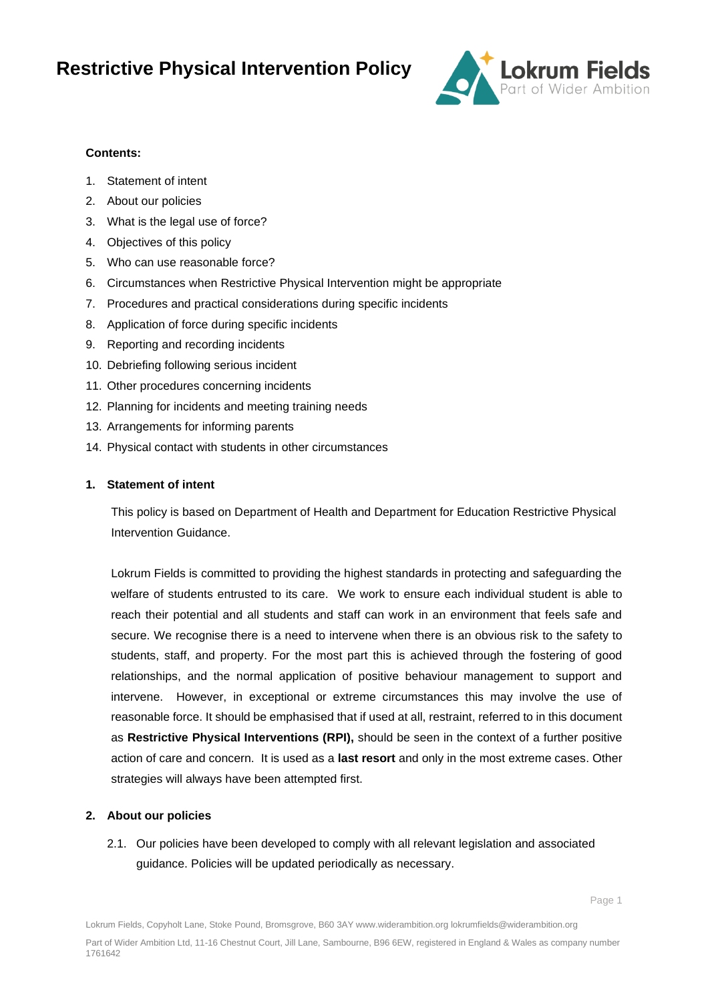

#### **Contents:**

- 1. Statement of intent
- 2. About our policies
- 3. What is the legal use of force?
- 4. Objectives of this policy
- 5. Who can use reasonable force?
- 6. Circumstances when Restrictive Physical Intervention might be appropriate
- 7. Procedures and practical considerations during specific incidents
- 8. Application of force during specific incidents
- 9. Reporting and recording incidents
- 10. Debriefing following serious incident
- 11. Other procedures concerning incidents
- 12. Planning for incidents and meeting training needs
- 13. Arrangements for informing parents
- 14. Physical contact with students in other circumstances

#### **1. Statement of intent**

This policy is based on Department of Health and Department for Education Restrictive Physical Intervention Guidance.

Lokrum Fields is committed to providing the highest standards in protecting and safeguarding the welfare of students entrusted to its care. We work to ensure each individual student is able to reach their potential and all students and staff can work in an environment that feels safe and secure. We recognise there is a need to intervene when there is an obvious risk to the safety to students, staff, and property. For the most part this is achieved through the fostering of good relationships, and the normal application of positive behaviour management to support and intervene. However, in exceptional or extreme circumstances this may involve the use of reasonable force. It should be emphasised that if used at all, restraint, referred to in this document as **Restrictive Physical Interventions (RPI),** should be seen in the context of a further positive action of care and concern. It is used as a **last resort** and only in the most extreme cases. Other strategies will always have been attempted first.

#### **2. About our policies**

2.1. Our policies have been developed to comply with all relevant legislation and associated guidance. Policies will be updated periodically as necessary.

Page 1

Lokrum Fields, Copyholt Lane, Stoke Pound, Bromsgrove, B60 3AY www.widerambition.org lokrumfields@widerambition.org

Part of Wider Ambition Ltd, 11-16 Chestnut Court, Jill Lane, Sambourne, B96 6EW, registered in England & Wales as company number 1761642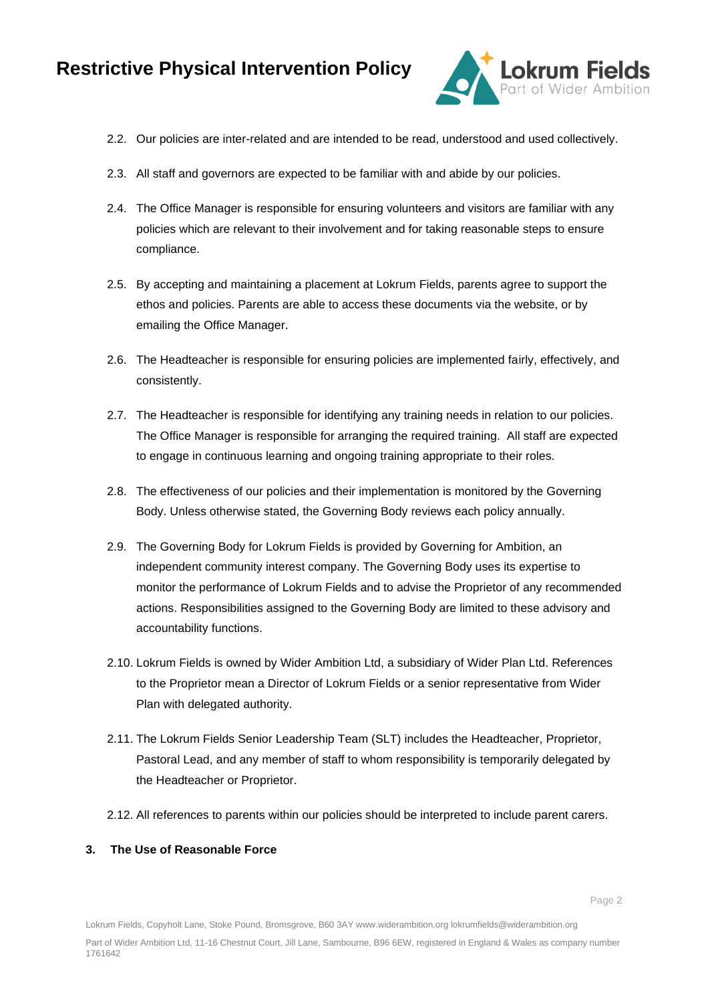

- 2.2. Our policies are inter-related and are intended to be read, understood and used collectively.
- 2.3. All staff and governors are expected to be familiar with and abide by our policies.
- 2.4. The Office Manager is responsible for ensuring volunteers and visitors are familiar with any policies which are relevant to their involvement and for taking reasonable steps to ensure compliance.
- 2.5. By accepting and maintaining a placement at Lokrum Fields, parents agree to support the ethos and policies. Parents are able to access these documents via the website, or by emailing the Office Manager.
- 2.6. The Headteacher is responsible for ensuring policies are implemented fairly, effectively, and consistently.
- 2.7. The Headteacher is responsible for identifying any training needs in relation to our policies. The Office Manager is responsible for arranging the required training. All staff are expected to engage in continuous learning and ongoing training appropriate to their roles.
- 2.8. The effectiveness of our policies and their implementation is monitored by the Governing Body. Unless otherwise stated, the Governing Body reviews each policy annually.
- 2.9. The Governing Body for Lokrum Fields is provided by Governing for Ambition, an independent community interest company. The Governing Body uses its expertise to monitor the performance of Lokrum Fields and to advise the Proprietor of any recommended actions. Responsibilities assigned to the Governing Body are limited to these advisory and accountability functions.
- 2.10. Lokrum Fields is owned by Wider Ambition Ltd, a subsidiary of Wider Plan Ltd. References to the Proprietor mean a Director of Lokrum Fields or a senior representative from Wider Plan with delegated authority.
- 2.11. The Lokrum Fields Senior Leadership Team (SLT) includes the Headteacher, Proprietor, Pastoral Lead, and any member of staff to whom responsibility is temporarily delegated by the Headteacher or Proprietor.
- 2.12. All references to parents within our policies should be interpreted to include parent carers.

#### **3. The Use of Reasonable Force**

Lokrum Fields, Copyholt Lane, Stoke Pound, Bromsgrove, B60 3AY www.widerambition.org lokrumfields@widerambition.org

Part of Wider Ambition Ltd, 11-16 Chestnut Court, Jill Lane, Sambourne, B96 6EW, registered in England & Wales as company number 1761642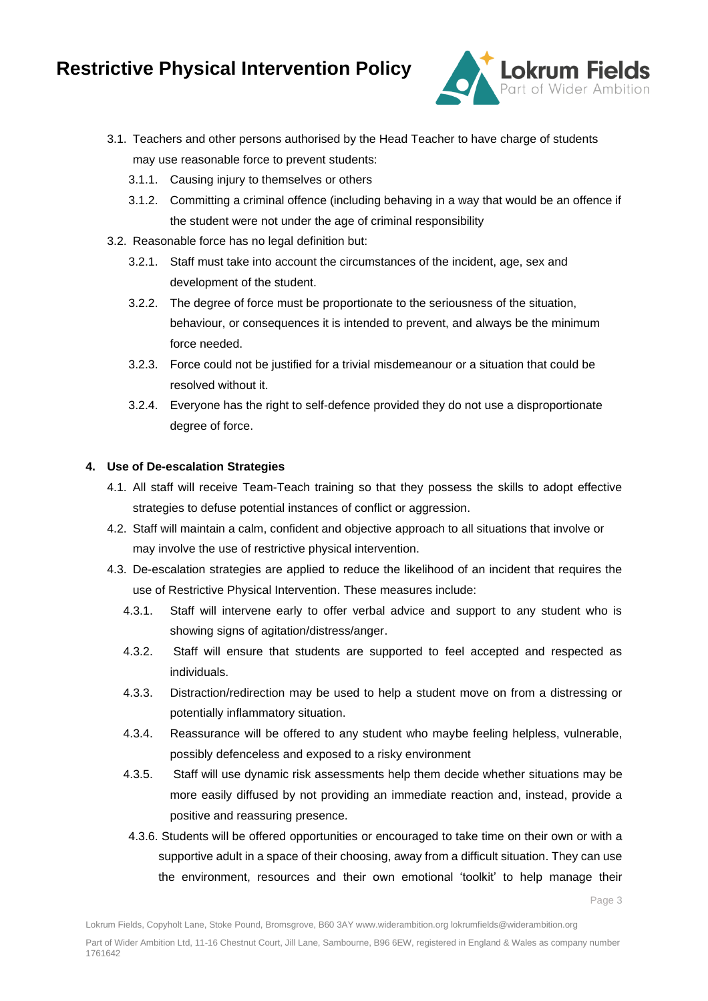

- 3.1. Teachers and other persons authorised by the Head Teacher to have charge of students may use reasonable force to prevent students:
	- 3.1.1. Causing injury to themselves or others
	- 3.1.2. Committing a criminal offence (including behaving in a way that would be an offence if the student were not under the age of criminal responsibility
- 3.2. Reasonable force has no legal definition but:
	- 3.2.1. Staff must take into account the circumstances of the incident, age, sex and development of the student.
	- 3.2.2. The degree of force must be proportionate to the seriousness of the situation, behaviour, or consequences it is intended to prevent, and always be the minimum force needed.
	- 3.2.3. Force could not be justified for a trivial misdemeanour or a situation that could be resolved without it.
	- 3.2.4. Everyone has the right to self-defence provided they do not use a disproportionate degree of force.

### **4. Use of De-escalation Strategies**

- 4.1. All staff will receive Team-Teach training so that they possess the skills to adopt effective strategies to defuse potential instances of conflict or aggression.
- 4.2. Staff will maintain a calm, confident and objective approach to all situations that involve or may involve the use of restrictive physical intervention.
- 4.3. De-escalation strategies are applied to reduce the likelihood of an incident that requires the use of Restrictive Physical Intervention. These measures include:
	- 4.3.1. Staff will intervene early to offer verbal advice and support to any student who is showing signs of agitation/distress/anger.
	- 4.3.2. Staff will ensure that students are supported to feel accepted and respected as individuals.
	- 4.3.3. Distraction/redirection may be used to help a student move on from a distressing or potentially inflammatory situation.
	- 4.3.4. Reassurance will be offered to any student who maybe feeling helpless, vulnerable, possibly defenceless and exposed to a risky environment
	- 4.3.5. Staff will use dynamic risk assessments help them decide whether situations may be more easily diffused by not providing an immediate reaction and, instead, provide a positive and reassuring presence.
	- 4.3.6. Students will be offered opportunities or encouraged to take time on their own or with a supportive adult in a space of their choosing, away from a difficult situation. They can use the environment, resources and their own emotional 'toolkit' to help manage their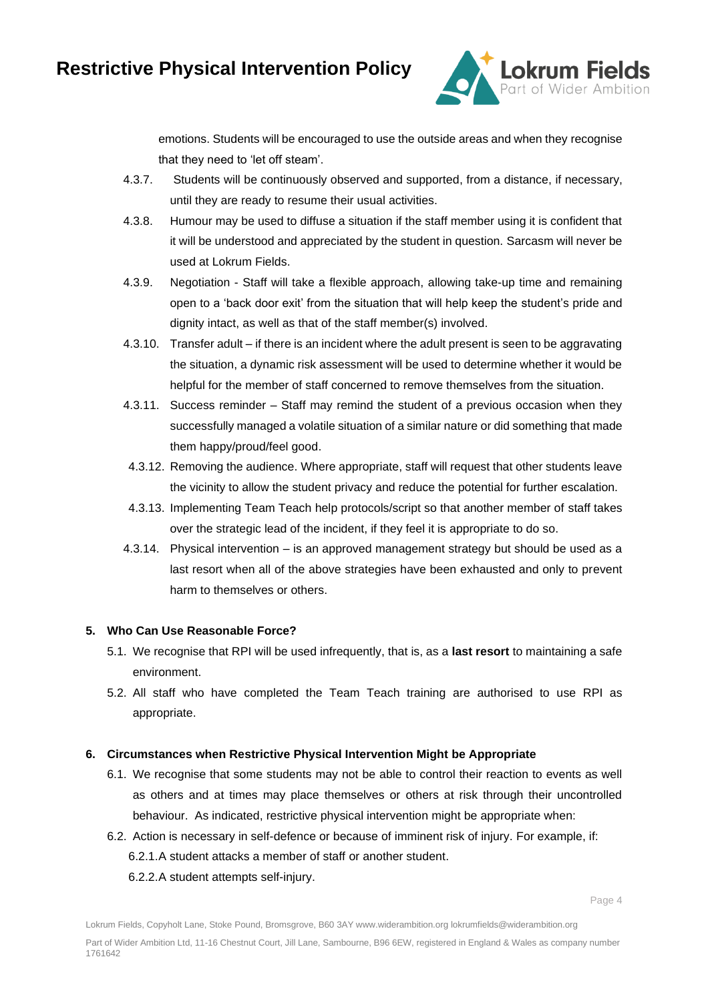

emotions. Students will be encouraged to use the outside areas and when they recognise that they need to 'let off steam'.

- 4.3.7. Students will be continuously observed and supported, from a distance, if necessary, until they are ready to resume their usual activities.
- 4.3.8. Humour may be used to diffuse a situation if the staff member using it is confident that it will be understood and appreciated by the student in question. Sarcasm will never be used at Lokrum Fields.
- 4.3.9. Negotiation Staff will take a flexible approach, allowing take-up time and remaining open to a 'back door exit' from the situation that will help keep the student's pride and dignity intact, as well as that of the staff member(s) involved.
- 4.3.10. Transfer adult if there is an incident where the adult present is seen to be aggravating the situation, a dynamic risk assessment will be used to determine whether it would be helpful for the member of staff concerned to remove themselves from the situation.
- 4.3.11. Success reminder Staff may remind the student of a previous occasion when they successfully managed a volatile situation of a similar nature or did something that made them happy/proud/feel good.
- 4.3.12. Removing the audience. Where appropriate, staff will request that other students leave the vicinity to allow the student privacy and reduce the potential for further escalation.
- 4.3.13. Implementing Team Teach help protocols/script so that another member of staff takes over the strategic lead of the incident, if they feel it is appropriate to do so.
- 4.3.14. Physical intervention is an approved management strategy but should be used as a last resort when all of the above strategies have been exhausted and only to prevent harm to themselves or others.

#### **5. Who Can Use Reasonable Force?**

- 5.1. We recognise that RPI will be used infrequently, that is, as a **last resort** to maintaining a safe environment.
- 5.2. All staff who have completed the Team Teach training are authorised to use RPI as appropriate.

#### **6. Circumstances when Restrictive Physical Intervention Might be Appropriate**

- 6.1. We recognise that some students may not be able to control their reaction to events as well as others and at times may place themselves or others at risk through their uncontrolled behaviour. As indicated, restrictive physical intervention might be appropriate when:
- 6.2. Action is necessary in self-defence or because of imminent risk of injury. For example, if: 6.2.1.A student attacks a member of staff or another student.
	- 6.2.2.A student attempts self-injury.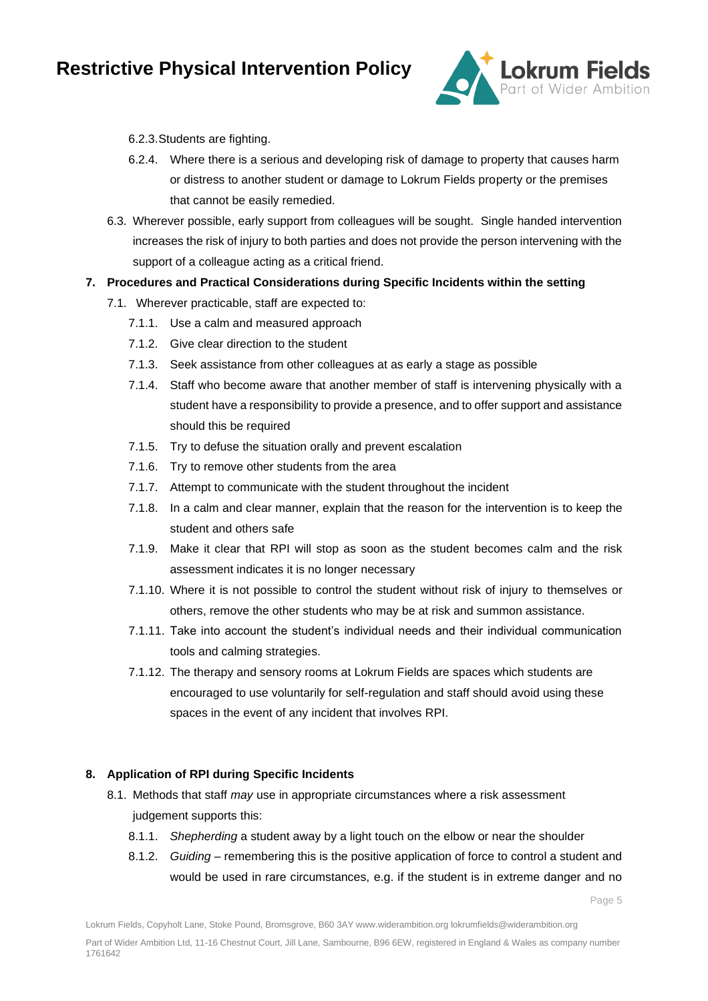

#### 6.2.3.Students are fighting.

- 6.2.4. Where there is a serious and developing risk of damage to property that causes harm or distress to another student or damage to Lokrum Fields property or the premises that cannot be easily remedied.
- 6.3. Wherever possible, early support from colleagues will be sought. Single handed intervention increases the risk of injury to both parties and does not provide the person intervening with the support of a colleague acting as a critical friend.
- **7. Procedures and Practical Considerations during Specific Incidents within the setting**
	- 7.1. Wherever practicable, staff are expected to:
		- 7.1.1. Use a calm and measured approach
		- 7.1.2. Give clear direction to the student
		- 7.1.3. Seek assistance from other colleagues at as early a stage as possible
		- 7.1.4. Staff who become aware that another member of staff is intervening physically with a student have a responsibility to provide a presence, and to offer support and assistance should this be required
		- 7.1.5. Try to defuse the situation orally and prevent escalation
		- 7.1.6. Try to remove other students from the area
		- 7.1.7. Attempt to communicate with the student throughout the incident
		- 7.1.8. In a calm and clear manner, explain that the reason for the intervention is to keep the student and others safe
		- 7.1.9. Make it clear that RPI will stop as soon as the student becomes calm and the risk assessment indicates it is no longer necessary
		- 7.1.10. Where it is not possible to control the student without risk of injury to themselves or others, remove the other students who may be at risk and summon assistance.
		- 7.1.11. Take into account the student's individual needs and their individual communication tools and calming strategies.
		- 7.1.12. The therapy and sensory rooms at Lokrum Fields are spaces which students are encouraged to use voluntarily for self-regulation and staff should avoid using these spaces in the event of any incident that involves RPI.

### **8. Application of RPI during Specific Incidents**

- 8.1. Methods that staff *may* use in appropriate circumstances where a risk assessment judgement supports this:
	- 8.1.1. *Shepherding* a student away by a light touch on the elbow or near the shoulder
	- 8.1.2. *Guiding* remembering this is the positive application of force to control a student and would be used in rare circumstances, e.g. if the student is in extreme danger and no

Page 5

Part of Wider Ambition Ltd, 11-16 Chestnut Court, Jill Lane, Sambourne, B96 6EW, registered in England & Wales as company number 1761642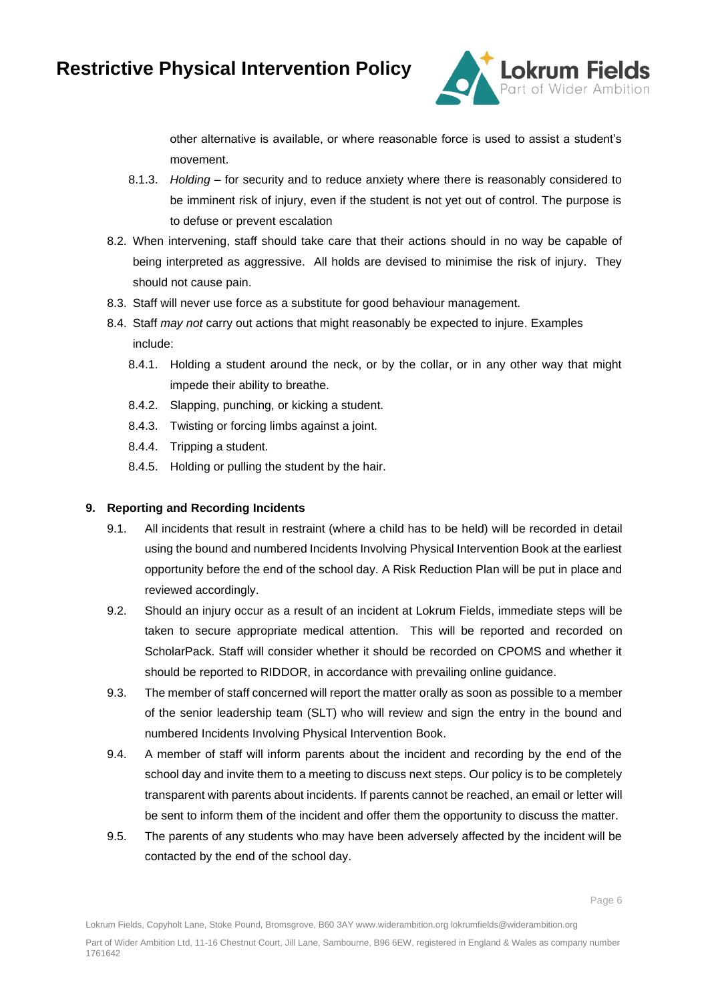

other alternative is available, or where reasonable force is used to assist a student's movement.

- 8.1.3. *Holding –* for security and to reduce anxiety where there is reasonably considered to be imminent risk of injury, even if the student is not yet out of control. The purpose is to defuse or prevent escalation
- 8.2. When intervening, staff should take care that their actions should in no way be capable of being interpreted as aggressive. All holds are devised to minimise the risk of injury. They should not cause pain.
- 8.3. Staff will never use force as a substitute for good behaviour management.
- 8.4. Staff *may not* carry out actions that might reasonably be expected to injure. Examples include:
	- 8.4.1. Holding a student around the neck, or by the collar, or in any other way that might impede their ability to breathe.
	- 8.4.2. Slapping, punching, or kicking a student.
	- 8.4.3. Twisting or forcing limbs against a joint.
	- 8.4.4. Tripping a student.
	- 8.4.5. Holding or pulling the student by the hair.

#### **9. Reporting and Recording Incidents**

- 9.1. All incidents that result in restraint (where a child has to be held) will be recorded in detail using the bound and numbered Incidents Involving Physical Intervention Book at the earliest opportunity before the end of the school day. A Risk Reduction Plan will be put in place and reviewed accordingly.
- 9.2. Should an injury occur as a result of an incident at Lokrum Fields, immediate steps will be taken to secure appropriate medical attention. This will be reported and recorded on ScholarPack. Staff will consider whether it should be recorded on CPOMS and whether it should be reported to RIDDOR, in accordance with prevailing online guidance.
- 9.3. The member of staff concerned will report the matter orally as soon as possible to a member of the senior leadership team (SLT) who will review and sign the entry in the bound and numbered Incidents Involving Physical Intervention Book.
- 9.4. A member of staff will inform parents about the incident and recording by the end of the school day and invite them to a meeting to discuss next steps. Our policy is to be completely transparent with parents about incidents. If parents cannot be reached, an email or letter will be sent to inform them of the incident and offer them the opportunity to discuss the matter.
- 9.5. The parents of any students who may have been adversely affected by the incident will be contacted by the end of the school day.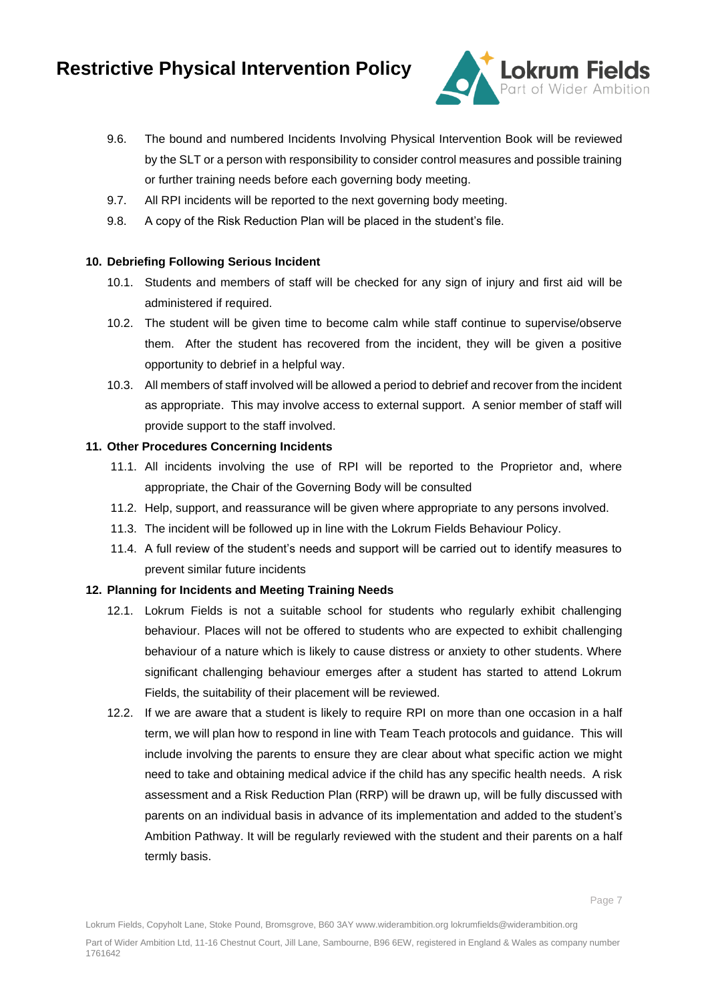

- 9.6. The bound and numbered Incidents Involving Physical Intervention Book will be reviewed by the SLT or a person with responsibility to consider control measures and possible training or further training needs before each governing body meeting.
- 9.7. All RPI incidents will be reported to the next governing body meeting.
- 9.8. A copy of the Risk Reduction Plan will be placed in the student's file.

#### **10. Debriefing Following Serious Incident**

- 10.1. Students and members of staff will be checked for any sign of injury and first aid will be administered if required.
- 10.2. The student will be given time to become calm while staff continue to supervise/observe them. After the student has recovered from the incident, they will be given a positive opportunity to debrief in a helpful way.
- 10.3. All members of staff involved will be allowed a period to debrief and recover from the incident as appropriate. This may involve access to external support. A senior member of staff will provide support to the staff involved.

#### **11. Other Procedures Concerning Incidents**

- 11.1. All incidents involving the use of RPI will be reported to the Proprietor and, where appropriate, the Chair of the Governing Body will be consulted
- 11.2. Help, support, and reassurance will be given where appropriate to any persons involved.
- 11.3. The incident will be followed up in line with the Lokrum Fields Behaviour Policy.
- 11.4. A full review of the student's needs and support will be carried out to identify measures to prevent similar future incidents

#### **12. Planning for Incidents and Meeting Training Needs**

- 12.1. Lokrum Fields is not a suitable school for students who regularly exhibit challenging behaviour. Places will not be offered to students who are expected to exhibit challenging behaviour of a nature which is likely to cause distress or anxiety to other students. Where significant challenging behaviour emerges after a student has started to attend Lokrum Fields, the suitability of their placement will be reviewed.
- 12.2. If we are aware that a student is likely to require RPI on more than one occasion in a half term, we will plan how to respond in line with Team Teach protocols and guidance. This will include involving the parents to ensure they are clear about what specific action we might need to take and obtaining medical advice if the child has any specific health needs. A risk assessment and a Risk Reduction Plan (RRP) will be drawn up, will be fully discussed with parents on an individual basis in advance of its implementation and added to the student's Ambition Pathway. It will be regularly reviewed with the student and their parents on a half termly basis.